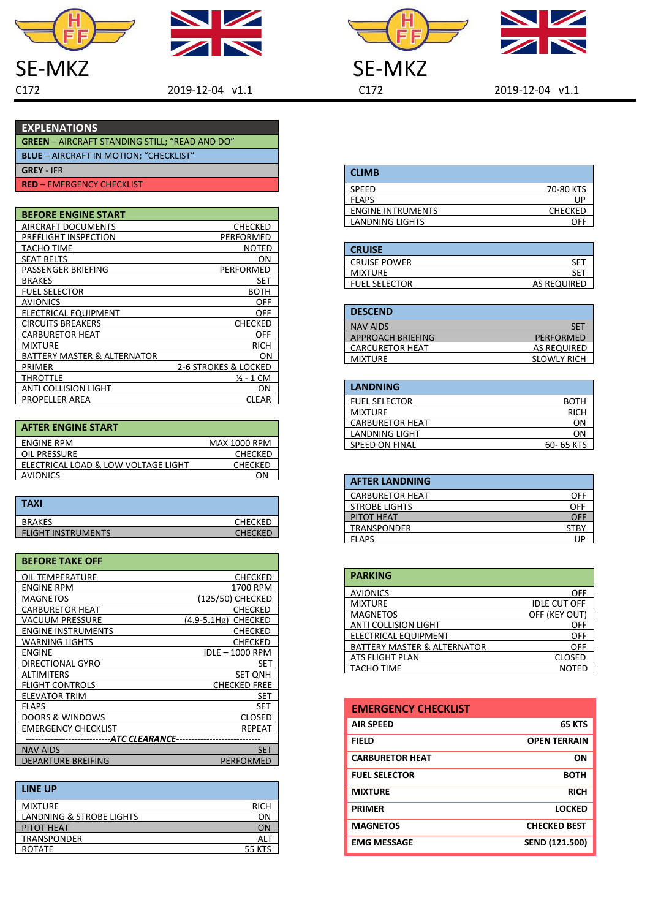



Н ĔĒ



 $SE-MKZ$ <br>  $2019-12-04$  v1.1<br>  $2019-12-04$  v1.1<br>  $C172$ 

C172 2019-12-04 v1.1 C172 2019-12-04 v1.1

## **EXPLENATIONS**

| <b>GREEN</b> – AIRCRAFT STANDING STILL; "READ AND DO" |
|-------------------------------------------------------|
| <b>BLUE</b> – AIRCRAFT IN MOTION; "CHECKLIST"         |
| <b>GREY - IFR</b>                                     |

**RED** – EMERGENCY CHECKLIST

| <b>BEFORE ENGINE START</b>  |                      |
|-----------------------------|----------------------|
| AIRCRAFT DOCUMENTS          | <b>CHECKED</b>       |
| PREFLIGHT INSPECTION        | PERFORMED            |
| TACHO TIME                  | NOTED                |
| <b>SEAT BELTS</b>           | ΟN                   |
| PASSENGER BRIEFING          | PERFORMED            |
| <b>BRAKES</b>               | SET                  |
| <b>FUEL SELECTOR</b>        | вотн                 |
| <b>AVIONICS</b>             | OFF                  |
| ELECTRICAL EQUIPMENT        | OFF                  |
| <b>CIRCUITS BREAKERS</b>    | <b>CHECKED</b>       |
| <b>CARBURETOR HEAT</b>      | OFF                  |
| <b>MIXTURE</b>              | <b>RICH</b>          |
| BATTERY MASTER & ALTERNATOR | OΝ                   |
| <b>PRIMER</b>               | 2-6 STROKES & LOCKED |
| THROTTLE                    | ½ - 1 CM             |
| ANTI COLLISION LIGHT        | ON                   |
| <b>PROPELLER AREA</b>       | CLEAR                |

| <b>AFTER ENGINE START</b>           |                     |
|-------------------------------------|---------------------|
| <b>ENGINE RPM</b>                   | <b>MAX 1000 RPM</b> |
| OIL PRESSURE                        | <b>CHECKED</b>      |
| ELECTRICAL LOAD & LOW VOLTAGE LIGHT | <b>CHECKED</b>      |
| <b>AVIONICS</b>                     | <b>ON</b>           |

| <b>TAXI</b>               |                |
|---------------------------|----------------|
| <b>BRAKES</b>             | <b>CHECKED</b> |
| <b>FLIGHT INSTRUMENTS</b> | <b>CHECKED</b> |

| <b>BEFORE TAKE OFF</b>     |                               |
|----------------------------|-------------------------------|
| OIL TEMPERATURE            | CHECKED                       |
| ENGINE RPM                 | 1700 RPM                      |
| <b>MAGNETOS</b>            | (125/50) CHECKED              |
| <b>CARBURETOR HEAT</b>     | CHECKED                       |
| VACUUM PRESSURE            | <b>CHECKED</b><br>(4.9-5.1Hg) |
| <b>ENGINE INSTRUMENTS</b>  | CHECKED                       |
| <b>WARNING LIGHTS</b>      | <b>CHECKED</b>                |
| <b>ENGINE</b>              | IDLE - 1000 RPM               |
| DIRECTIONAL GYRO           | SET                           |
| <b>ALTIMITERS</b>          | <b>SET ONH</b>                |
| <b>FLIGHT CONTROLS</b>     | <b>CHECKED FREE</b>           |
| <b>ELEVATOR TRIM</b>       | SET                           |
| <b>FLAPS</b>               | SET                           |
| <b>DOORS &amp; WINDOWS</b> | CLOSED                        |
| <b>EMERGENCY CHECKLIST</b> | REPEAT                        |
| --ATC CLEARANCE--          |                               |
| <b>NAV AIDS</b>            | <b>SET</b>                    |
| <b>DEPARTURE BREIFING</b>  | PERFORMED                     |

| <b>LINE UP</b>           |               |
|--------------------------|---------------|
| <b>MIXTURE</b>           | <b>RICH</b>   |
| LANDNING & STROBE LIGHTS | <b>ON</b>     |
| PITOT HEAT               | ON            |
| <b>TRANSPONDER</b>       | ALT           |
| <b>ROTATE</b>            | <b>55 KTS</b> |

| <b>CLIMB</b>      |                |
|-------------------|----------------|
| <b>SPEED</b>      | 70-80 KTS      |
| <b>FLAPS</b>      | UF             |
| ENGINE INTRUMENTS | <b>CHECKED</b> |
| LANDNING LIGHTS   | ΩE             |

| <b>CRUISE</b>        |             |
|----------------------|-------------|
| <b>CRUISE POWER</b>  | ۲F          |
| <b>MIXTURE</b>       |             |
| <b>FUEL SELECTOR</b> | AS REQUIRED |

| SET                |
|--------------------|
| <b>PERFORMED</b>   |
| AS REQUIRED        |
| <b>SLOWLY RICH</b> |
|                    |

| <b>LANDNING</b>        |             |
|------------------------|-------------|
| <b>FUEL SELECTOR</b>   | BOTH        |
| <b>MIXTURE</b>         | <b>RICH</b> |
| <b>CARBURETOR HEAT</b> | ΟN          |
| LANDNING LIGHT         | ΩN          |
| <b>SPEED ON FINAL</b>  | 60-65 KTS   |

| <b>AFTER LANDNING</b>  |             |
|------------------------|-------------|
| <b>CARBURETOR HEAT</b> | OFF         |
| <b>STROBE LIGHTS</b>   | OFF         |
| PITOT HEAT             | OFF         |
| TRANSPONDER            | <b>STBY</b> |
| <b>FLAPS</b>           |             |

| <b>PARKING</b>                         |                     |
|----------------------------------------|---------------------|
| <b>AVIONICS</b>                        | <b>OFF</b>          |
| <b>MIXTURE</b>                         | <b>IDLE CUT OFF</b> |
| <b>MAGNETOS</b>                        | OFF (KEY OUT)       |
| <b>ANTI COLLISION LIGHT</b>            | OFF                 |
| ELECTRICAL EQUIPMENT                   | OFF                 |
| <b>BATTERY MASTER &amp; ALTERNATOR</b> | OFF                 |
| ATS FLIGHT PLAN                        | <b>CLOSED</b>       |
| TACHO TIME                             | NOTED               |

| <b>EMERGENCY CHECKLIST</b> |                     |
|----------------------------|---------------------|
| <b>AIR SPEED</b>           | <b>65 KTS</b>       |
| <b>FIELD</b>               | <b>OPEN TERRAIN</b> |
| <b>CARBURETOR HEAT</b>     | <b>ON</b>           |
| <b>FUEL SELECTOR</b>       | <b>BOTH</b>         |
| <b>MIXTURE</b>             | <b>RICH</b>         |
| <b>PRIMER</b>              | <b>LOCKED</b>       |
| <b>MAGNETOS</b>            | <b>CHECKED BEST</b> |
| <b>EMG MESSAGE</b>         | SEND (121.500)      |